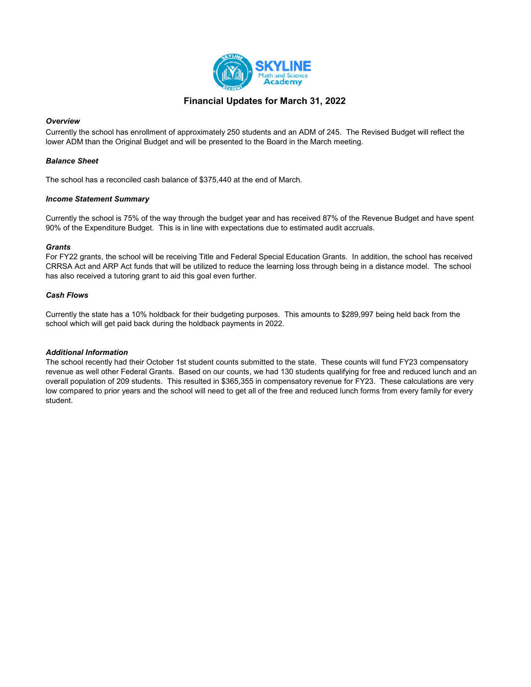

## Financial Updates for March 31, 2022

### **Overview**

Currently the school has enrollment of approximately 250 students and an ADM of 245. The Revised Budget will reflect the lower ADM than the Original Budget and will be presented to the Board in the March meeting.

### Balance Sheet

The school has a reconciled cash balance of \$375,440 at the end of March.

### Income Statement Summary

Currently the school is 75% of the way through the budget year and has received 87% of the Revenue Budget and have spent 90% of the Expenditure Budget. This is in line with expectations due to estimated audit accruals.

### **Grants**

For FY22 grants, the school will be receiving Title and Federal Special Education Grants. In addition, the school has received CRRSA Act and ARP Act funds that will be utilized to reduce the learning loss through being in a distance model. The school has also received a tutoring grant to aid this goal even further.

### Cash Flows

Currently the state has a 10% holdback for their budgeting purposes. This amounts to \$289,997 being held back from the school which will get paid back during the holdback payments in 2022.

### Additional Information

The school recently had their October 1st student counts submitted to the state. These counts will fund FY23 compensatory revenue as well other Federal Grants. Based on our counts, we had 130 students qualifying for free and reduced lunch and an overall population of 209 students. This resulted in \$365,355 in compensatory revenue for FY23. These calculations are very low compared to prior years and the school will need to get all of the free and reduced lunch forms from every family for every student.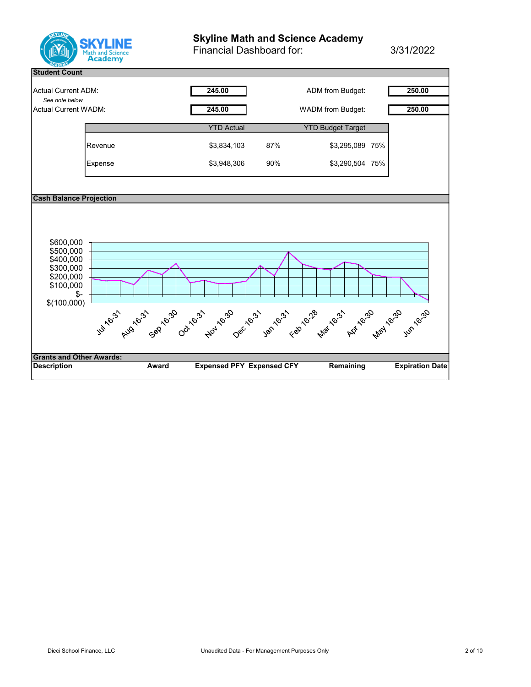

# Skyline Math and Science Academy

Financial Dashboard for: 3/31/2022

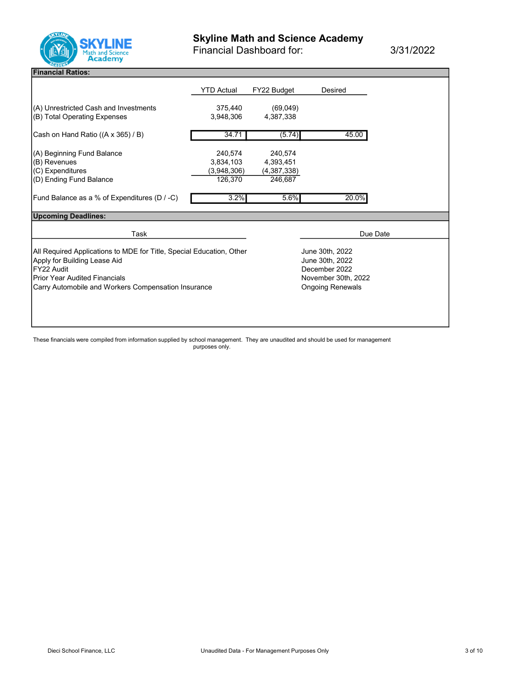

Financial Dashboard for: 3/31/2022

## Financial Ratios:

|                                                                      | YTD Actual          | FY22 Budget             | Desired                            |  |
|----------------------------------------------------------------------|---------------------|-------------------------|------------------------------------|--|
|                                                                      |                     |                         |                                    |  |
| (A) Unrestricted Cash and Investments                                | 375,440             | (69,049)                |                                    |  |
| (B) Total Operating Expenses                                         | 3.948.306           | 4,387,338               |                                    |  |
|                                                                      |                     |                         |                                    |  |
| Cash on Hand Ratio ((A x 365) / B)                                   | 34.71               | (5.74)                  | 45.00                              |  |
|                                                                      |                     |                         |                                    |  |
| (A) Beginning Fund Balance                                           | 240,574             | 240,574                 |                                    |  |
| (B) Revenues                                                         | 3,834,103           | 4,393,451               |                                    |  |
| (C) Expenditures                                                     | (3,948,306)         | (4,387,338)             |                                    |  |
| (D) Ending Fund Balance                                              | 126,370             | 246,687                 |                                    |  |
|                                                                      |                     |                         | 20.0%                              |  |
| Fund Balance as a % of Expenditures (D / -C)                         | 3.2%                | 5.6%                    |                                    |  |
| <b>Upcoming Deadlines:</b>                                           |                     |                         |                                    |  |
|                                                                      |                     |                         |                                    |  |
| Task                                                                 |                     |                         | Due Date                           |  |
|                                                                      |                     |                         |                                    |  |
| All Required Applications to MDE for Title, Special Education, Other |                     |                         | June 30th, 2022<br>June 30th, 2022 |  |
| Apply for Building Lease Aid<br>FY22 Audit                           |                     |                         | December 2022                      |  |
| <b>Prior Year Audited Financials</b>                                 |                     |                         |                                    |  |
|                                                                      | November 30th, 2022 |                         |                                    |  |
| Carry Automobile and Workers Compensation Insurance                  |                     | <b>Ongoing Renewals</b> |                                    |  |
|                                                                      |                     |                         |                                    |  |
|                                                                      |                     |                         |                                    |  |
|                                                                      |                     |                         |                                    |  |
|                                                                      |                     |                         |                                    |  |

These financials were compiled from information supplied by school management. They are unaudited and should be used for management purposes only.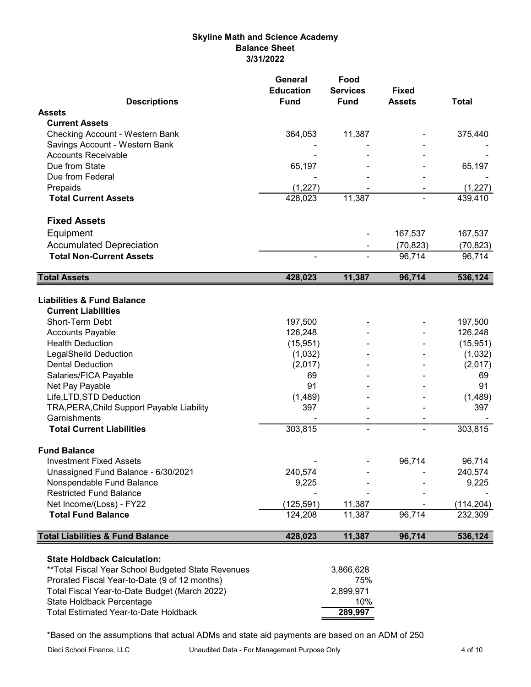## Skyline Math and Science Academy Balance Sheet 3/31/2022

|                                                         | General<br><b>Education</b> | Food<br><b>Services</b> | <b>Fixed</b>                       |              |
|---------------------------------------------------------|-----------------------------|-------------------------|------------------------------------|--------------|
| <b>Descriptions</b>                                     | <b>Fund</b>                 | <b>Fund</b>             | <b>Assets</b>                      | <b>Total</b> |
| <b>Assets</b>                                           |                             |                         |                                    |              |
| <b>Current Assets</b>                                   |                             |                         |                                    |              |
| <b>Checking Account - Western Bank</b>                  | 364,053                     | 11,387                  |                                    | 375,440      |
| Savings Account - Western Bank                          |                             |                         |                                    |              |
| <b>Accounts Receivable</b><br>Due from State            |                             |                         |                                    |              |
|                                                         | 65,197                      |                         |                                    | 65,197       |
| Due from Federal                                        |                             |                         |                                    |              |
| Prepaids                                                | (1, 227)<br>428,023         |                         |                                    | (1, 227)     |
| <b>Total Current Assets</b>                             |                             | 11,387                  |                                    | 439,410      |
| <b>Fixed Assets</b>                                     |                             |                         |                                    |              |
| Equipment                                               |                             |                         | 167,537                            | 167,537      |
| <b>Accumulated Depreciation</b>                         |                             |                         | (70, 823)                          | (70, 823)    |
| <b>Total Non-Current Assets</b>                         |                             |                         | 96,714                             | 96,714       |
| <b>Total Assets</b>                                     | 428,023                     | 11,387                  | 96,714                             | 536,124      |
|                                                         |                             |                         |                                    |              |
| <b>Liabilities &amp; Fund Balance</b>                   |                             |                         |                                    |              |
| <b>Current Liabilities</b>                              |                             |                         |                                    |              |
| <b>Short-Term Debt</b>                                  | 197,500                     |                         |                                    | 197,500      |
| <b>Accounts Payable</b>                                 | 126,248                     |                         |                                    | 126,248      |
| <b>Health Deduction</b>                                 | (15, 951)                   |                         |                                    | (15, 951)    |
| <b>LegalSheild Deduction</b><br><b>Dental Deduction</b> | (1,032)                     |                         |                                    | (1,032)      |
|                                                         | (2,017)                     |                         |                                    | (2,017)      |
| Salaries/FICA Payable<br>Net Pay Payable                | 69<br>91                    |                         |                                    | 69<br>91     |
| Life, LTD, STD Deduction                                | (1,489)                     |                         |                                    | (1,489)      |
| TRA, PERA, Child Support Payable Liability              | 397                         |                         |                                    | 397          |
| Garnishments                                            |                             |                         |                                    |              |
| <b>Total Current Liabilities</b>                        | 303,815                     | ۰                       | $\qquad \qquad \blacksquare$<br>ä, | 303,815      |
|                                                         |                             |                         |                                    |              |
| <b>Fund Balance</b>                                     |                             |                         |                                    |              |
| <b>Investment Fixed Assets</b>                          |                             |                         | 96,714                             | 96,714       |
| Unassigned Fund Balance - 6/30/2021                     | 240,574                     |                         |                                    | 240,574      |
| Nonspendable Fund Balance                               | 9,225                       |                         |                                    | 9,225        |
| <b>Restricted Fund Balance</b>                          |                             |                         |                                    |              |
| Net Income/(Loss) - FY22                                | (125, 591)                  | 11,387                  |                                    | (114, 204)   |
| <b>Total Fund Balance</b>                               | 124,208                     | 11,387                  | 96,714                             | 232,309      |
| <b>Total Liabilities &amp; Fund Balance</b>             | 428,023                     | 11,387                  | 96,714                             | 536,124      |
| <b>State Holdback Calculation:</b>                      |                             |                         |                                    |              |
| **Total Fiscal Year School Budgeted State Revenues      |                             | 3,866,628               |                                    |              |
| Prorated Fiscal Year-to-Date (9 of 12 months)           |                             | 75%                     |                                    |              |
| Total Fiscal Year-to-Date Budget (March 2022)           |                             | 2,899,971               |                                    |              |
| State Holdback Percentage                               |                             | 10%                     |                                    |              |
| Total Estimated Year-to-Date Holdback                   |                             | 289,997                 |                                    |              |

\*Based on the assumptions that actual ADMs and state aid payments are based on an ADM of 250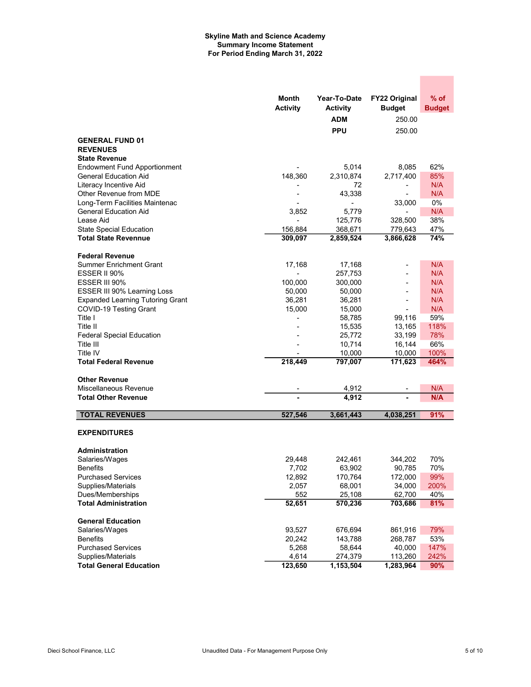### Skyline Math and Science Academy Summary Income Statement For Period Ending March 31, 2022

|                                         | Month<br><b>Activity</b> | Year-To-Date<br><b>Activity</b> | <b>FY22 Original</b><br><b>Budget</b> | % of<br><b>Budget</b> |
|-----------------------------------------|--------------------------|---------------------------------|---------------------------------------|-----------------------|
|                                         |                          | <b>ADM</b>                      | 250.00                                |                       |
|                                         |                          | <b>PPU</b>                      | 250.00                                |                       |
| <b>GENERAL FUND 01</b>                  |                          |                                 |                                       |                       |
| <b>REVENUES</b>                         |                          |                                 |                                       |                       |
| <b>State Revenue</b>                    |                          |                                 |                                       |                       |
| <b>Endowment Fund Apportionment</b>     |                          | 5,014                           | 8,085                                 | 62%                   |
| <b>General Education Aid</b>            | 148,360                  | 2,310,874                       | 2,717,400                             | 85%                   |
| Literacy Incentive Aid                  |                          | 72                              | -                                     | N/A                   |
| Other Revenue from MDE                  |                          | 43,338                          |                                       | N/A                   |
| Long-Term Facilities Maintenac          |                          | $\overline{\phantom{a}}$        | 33,000                                | 0%                    |
| <b>General Education Aid</b>            | 3,852                    | 5,779                           |                                       | N/A                   |
| Lease Aid                               |                          | 125,776                         | 328,500                               | 38%                   |
| <b>State Special Education</b>          | 156,884                  | 368,671                         | 779,643                               | 47%                   |
| <b>Total State Revennue</b>             | 309,097                  | 2,859,524                       | 3,866,628                             | 74%                   |
|                                         |                          |                                 |                                       |                       |
| <b>Federal Revenue</b>                  |                          |                                 |                                       |                       |
| <b>Summer Enrichment Grant</b>          | 17,168                   | 17,168                          |                                       | N/A                   |
| ESSER II 90%                            |                          | 257,753                         |                                       | N/A                   |
| ESSER III 90%                           | 100,000                  | 300,000                         |                                       | N/A                   |
| ESSER III 90% Learning Loss             | 50,000                   | 50,000                          |                                       | N/A                   |
| <b>Expanded Learning Tutoring Grant</b> | 36,281                   | 36,281                          | $\blacksquare$                        | N/A                   |
| COVID-19 Testing Grant                  | 15,000                   | 15,000                          |                                       | N/A                   |
| Title I                                 |                          | 58,785                          | 99,116                                | 59%                   |
| Title II                                |                          | 15,535                          | 13,165                                | 118%                  |
| <b>Federal Special Education</b>        |                          | 25,772<br>10,714                | 33,199                                | 78%<br>66%            |
| Title III<br>Title IV                   |                          | 10,000                          | 16,144<br>10,000                      | 100%                  |
| <b>Total Federal Revenue</b>            | 218,449                  | 797,007                         | 171,623                               | 464%                  |
|                                         |                          |                                 |                                       |                       |
| <b>Other Revenue</b>                    |                          |                                 |                                       |                       |
| Miscellaneous Revenue                   |                          | 4,912                           |                                       | N/A                   |
| <b>Total Other Revenue</b>              |                          | 4,912                           |                                       | N/A                   |
|                                         |                          |                                 |                                       |                       |
| <b>TOTAL REVENUES</b>                   | 527,546                  | 3,661,443                       | 4,038,251                             | 91%                   |
| <b>EXPENDITURES</b>                     |                          |                                 |                                       |                       |
|                                         |                          |                                 |                                       |                       |
| <b>Administration</b>                   |                          |                                 |                                       |                       |
| Salaries/Wages                          | 29,448                   | 242,461                         | 344,202                               | 70%                   |
| <b>Benefits</b>                         | 7,702                    | 63,902                          | 90,785                                | 70%                   |
| <b>Purchased Services</b>               | 12,892                   | 170,764                         | 172,000                               | 99%                   |
| Supplies/Materials                      | 2,057                    | 68,001                          | 34,000                                | 200%                  |
| Dues/Memberships                        | 552                      | 25,108                          | 62,700                                | 40%                   |
| <b>Total Administration</b>             | 52,651                   | 570,236                         | 703,686                               | 81%                   |
| <b>General Education</b>                |                          |                                 |                                       |                       |
|                                         | 93,527                   | 676,694                         |                                       | 79%                   |
| Salaries/Wages<br><b>Benefits</b>       | 20,242                   | 143,788                         | 861,916<br>268,787                    | 53%                   |
| <b>Purchased Services</b>               | 5,268                    | 58,644                          | 40,000                                | 147%                  |
| Supplies/Materials                      | 4,614                    | 274,379                         | 113,260                               | 242%                  |
| <b>Total General Education</b>          | 123,650                  | 1,153,504                       | 1,283,964                             | 90%                   |

 $\mathcal{L}^{\text{max}}_{\text{max}}$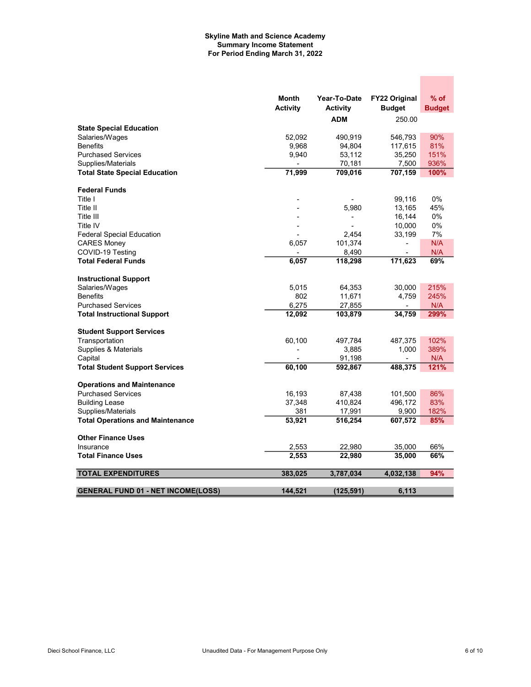### Skyline Math and Science Academy Summary Income Statement For Period Ending March 31, 2022

|                                                  | Month           | Year-To-Date     | <b>FY22 Original</b> | % of          |
|--------------------------------------------------|-----------------|------------------|----------------------|---------------|
|                                                  | <b>Activity</b> | <b>Activity</b>  | <b>Budget</b>        | <b>Budget</b> |
|                                                  |                 | <b>ADM</b>       | 250.00               |               |
| <b>State Special Education</b><br>Salaries/Wages | 52,092          | 490,919          |                      | 90%           |
| <b>Benefits</b>                                  | 9,968           |                  | 546,793              | 81%           |
| <b>Purchased Services</b>                        | 9,940           | 94,804<br>53,112 | 117,615<br>35,250    | 151%          |
| Supplies/Materials                               |                 | 70,181           | 7,500                | 936%          |
| <b>Total State Special Education</b>             | 71,999          | 709,016          | 707,159              | 100%          |
|                                                  |                 |                  |                      |               |
| <b>Federal Funds</b>                             |                 |                  |                      |               |
| Title I                                          |                 |                  | 99,116               | 0%            |
| Title II                                         |                 | 5,980            | 13,165               | 45%           |
| Title III                                        |                 |                  | 16,144               | 0%            |
| Title IV                                         |                 |                  | 10,000               | 0%            |
| <b>Federal Special Education</b>                 |                 | 2,454            | 33,199               | 7%            |
| <b>CARES Money</b>                               | 6,057           | 101,374          | ٠                    | N/A           |
| COVID-19 Testing                                 |                 | 8,490            |                      | N/A           |
| <b>Total Federal Funds</b>                       | 6,057           | 118,298          | 171,623              | 69%           |
| <b>Instructional Support</b>                     |                 |                  |                      |               |
| Salaries/Wages                                   | 5.015           | 64,353           | 30,000               | 215%          |
| <b>Benefits</b>                                  | 802             | 11,671           | 4,759                | 245%          |
| <b>Purchased Services</b>                        | 6,275           | 27,855           | $\blacksquare$       | N/A           |
| <b>Total Instructional Support</b>               | 12,092          | 103,879          | 34,759               | 299%          |
| <b>Student Support Services</b>                  |                 |                  |                      |               |
| Transportation                                   | 60,100          | 497,784          | 487,375              | 102%          |
| Supplies & Materials                             |                 | 3,885            | 1,000                | 389%          |
| Capital                                          |                 | 91,198           |                      | N/A           |
| <b>Total Student Support Services</b>            | 60,100          | 592,867          | 488,375              | 121%          |
| <b>Operations and Maintenance</b>                |                 |                  |                      |               |
| <b>Purchased Services</b>                        | 16,193          | 87,438           | 101,500              | 86%           |
| <b>Building Lease</b>                            | 37,348          | 410,824          | 496,172              | 83%           |
| Supplies/Materials                               | 381             | 17,991           | 9,900                | 182%          |
| <b>Total Operations and Maintenance</b>          | 53,921          | 516,254          | 607,572              | 85%           |
| <b>Other Finance Uses</b>                        |                 |                  |                      |               |
| Insurance                                        | 2,553           | 22,980           | 35,000               | 66%           |
| <b>Total Finance Uses</b>                        | 2,553           | 22,980           | 35,000               | 66%           |
| <b>TOTAL EXPENDITURES</b>                        | 383,025         |                  |                      | 94%           |
|                                                  |                 | 3,787,034        | 4,032,138            |               |
| <b>GENERAL FUND 01 - NET INCOME(LOSS)</b>        | 144.521         | (125, 591)       | 6.113                |               |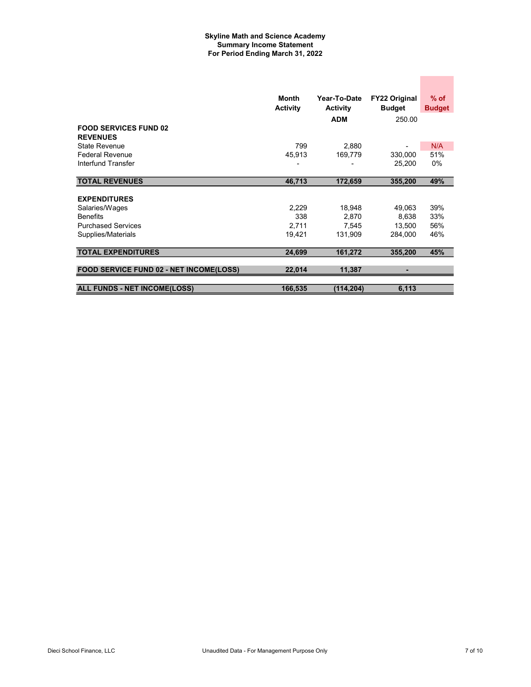### Skyline Math and Science Academy Summary Income Statement For Period Ending March 31, 2022

|                                                 | Month<br><b>Activity</b> | Year-To-Date<br><b>Activity</b> | <b>FY22 Original</b><br><b>Budget</b> | $%$ of<br><b>Budget</b> |
|-------------------------------------------------|--------------------------|---------------------------------|---------------------------------------|-------------------------|
| <b>FOOD SERVICES FUND 02</b><br><b>REVENUES</b> |                          | <b>ADM</b>                      | 250.00                                |                         |
| State Revenue                                   | 799                      | 2,880                           |                                       | N/A                     |
| <b>Federal Revenue</b>                          | 45,913                   | 169,779                         | 330,000                               | 51%                     |
| Interfund Transfer                              |                          |                                 | 25,200                                | $0\%$                   |
| <b>TOTAL REVENUES</b>                           | 46,713                   | 172,659                         | 355,200                               | 49%                     |
| <b>EXPENDITURES</b>                             |                          |                                 |                                       |                         |
| Salaries/Wages                                  | 2,229                    | 18,948                          | 49,063                                | 39%                     |
| <b>Benefits</b>                                 | 338                      | 2,870                           | 8,638                                 | 33%                     |
| <b>Purchased Services</b>                       | 2,711                    | 7,545                           | 13,500                                | 56%                     |
| Supplies/Materials                              | 19,421                   | 131,909                         | 284.000                               | 46%                     |
| <b>TOTAL EXPENDITURES</b>                       | 24,699                   | 161,272                         | 355,200                               | 45%                     |
|                                                 |                          |                                 |                                       |                         |
| FOOD SERVICE FUND 02 - NET INCOME(LOSS)         | 22,014                   | 11,387                          |                                       |                         |
|                                                 |                          |                                 |                                       |                         |
| <b>ALL FUNDS - NET INCOME(LOSS)</b>             | 166,535                  | (114, 204)                      | 6,113                                 |                         |

**Contract Contract**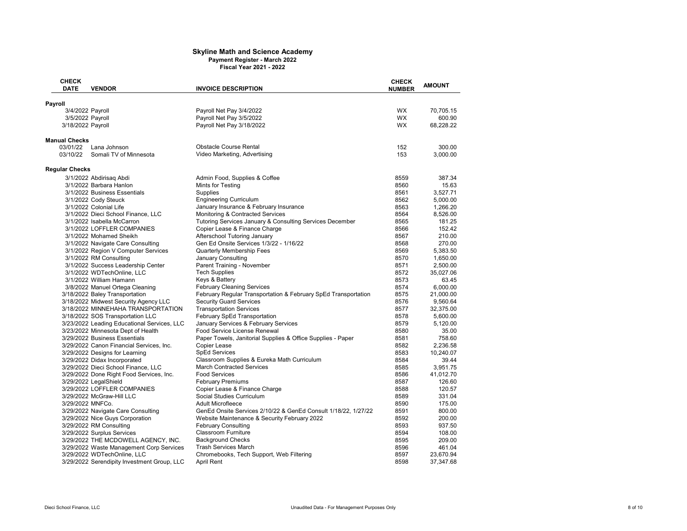#### Skyline Math and Science Academy Payment Register - March 2022 Fiscal Year 2021 - 2022

| <b>CHECK</b>          |                                                                     |                                                                                             | <b>CHECK</b>  |                 |
|-----------------------|---------------------------------------------------------------------|---------------------------------------------------------------------------------------------|---------------|-----------------|
| <b>DATE</b>           | <b>VENDOR</b>                                                       | <b>INVOICE DESCRIPTION</b>                                                                  | <b>NUMBER</b> | <b>AMOUNT</b>   |
|                       |                                                                     |                                                                                             |               |                 |
| Payroll               | 3/4/2022 Payroll                                                    | Payroll Net Pay 3/4/2022                                                                    | WX.           | 70,705.15       |
|                       | 3/5/2022 Payroll                                                    | Payroll Net Pay 3/5/2022                                                                    | <b>WX</b>     | 600.90          |
| 3/18/2022 Payroll     |                                                                     | Payroll Net Pay 3/18/2022                                                                   | <b>WX</b>     | 68,228.22       |
|                       |                                                                     |                                                                                             |               |                 |
| <b>Manual Checks</b>  |                                                                     |                                                                                             |               |                 |
| 03/01/22              | Lana Johnson                                                        | <b>Obstacle Course Rental</b>                                                               | 152           | 300.00          |
| 03/10/22              | Somali TV of Minnesota                                              | Video Marketing, Advertising                                                                | 153           | 3.000.00        |
| <b>Regular Checks</b> |                                                                     |                                                                                             |               |                 |
|                       | 3/1/2022 Abdirisag Abdi                                             | Admin Food, Supplies & Coffee                                                               | 8559          | 387.34          |
|                       | 3/1/2022 Barbara Hanlon                                             | Mints for Testing                                                                           | 8560          | 15.63           |
|                       | 3/1/2022 Business Essentials                                        | Supplies                                                                                    | 8561          | 3,527.71        |
|                       | 3/1/2022 Cody Steuck                                                | <b>Engineering Curriculum</b>                                                               | 8562          | 5,000.00        |
|                       | 3/1/2022 Colonial Life                                              | January Insurance & February Insurance                                                      | 8563          | 1,266.20        |
|                       | 3/1/2022 Dieci School Finance, LLC                                  | Monitoring & Contracted Services                                                            | 8564          | 8,526.00        |
|                       | 3/1/2022 Isabella McCarron                                          | Tutoring Services January & Consulting Services December                                    | 8565          | 181.25          |
|                       | 3/1/2022 LOFFLER COMPANIES                                          | Copier Lease & Finance Charge                                                               | 8566          | 152.42          |
|                       | 3/1/2022 Mohamed Sheikh                                             | Afterschool Tutoring January                                                                | 8567          | 210.00          |
|                       | 3/1/2022 Navigate Care Consulting                                   | Gen Ed Onsite Services 1/3/22 - 1/16/22                                                     | 8568          | 270.00          |
|                       | 3/1/2022 Region V Computer Services                                 | <b>Quarterly Membership Fees</b>                                                            | 8569          | 5,383.50        |
|                       | 3/1/2022 RM Consulting                                              | <b>January Consulting</b>                                                                   | 8570          | 1,650.00        |
|                       | 3/1/2022 Success Leadership Center                                  | Parent Training - November                                                                  | 8571          | 2,500.00        |
|                       | 3/1/2022 WDTechOnline, LLC                                          | <b>Tech Supplies</b>                                                                        | 8572          | 35,027.06       |
|                       | 3/1/2022 William Hamann                                             | Keys & Battery                                                                              | 8573          | 63.45           |
|                       | 3/8/2022 Manuel Ortega Cleaning                                     | <b>February Cleaning Services</b>                                                           | 8574          | 6.000.00        |
|                       | 3/18/2022 Baley Transportation                                      | February Regular Transportation & February SpEd Transportation                              | 8575          | 21,000.00       |
|                       | 3/18/2022 Midwest Security Agency LLC                               | <b>Security Guard Services</b>                                                              | 8576          | 9,560.64        |
|                       | 3/18/2022 MINNEHAHA TRANSPORTATION                                  | <b>Transportation Services</b>                                                              | 8577          | 32,375.00       |
|                       | 3/18/2022 SOS Transportation LLC                                    | February SpEd Transportation                                                                | 8578          | 5,600.00        |
|                       |                                                                     |                                                                                             | 8579          |                 |
|                       | 3/23/2022 Leading Educational Services, LLC                         | January Services & February Services                                                        | 8580          | 5,120.00        |
|                       | 3/23/2022 Minnesota Dept of Health<br>3/29/2022 Business Essentials | Food Service License Renewal<br>Paper Towels, Janitorial Supplies & Office Supplies - Paper |               | 35.00<br>758.60 |
|                       |                                                                     |                                                                                             | 8581<br>8582  |                 |
|                       | 3/29/2022 Canon Financial Services, Inc.                            | Copier Lease                                                                                |               | 2,236.58        |
|                       | 3/29/2022 Designs for Learning                                      | <b>SpEd Services</b>                                                                        | 8583          | 10,240.07       |
|                       | 3/29/2022 Didax Incorporated                                        | Classroom Supplies & Eureka Math Curriculum                                                 | 8584          | 39.44           |
|                       | 3/29/2022 Dieci School Finance, LLC                                 | <b>March Contracted Services</b>                                                            | 8585          | 3,951.75        |
|                       | 3/29/2022 Done Right Food Services, Inc.                            | <b>Food Services</b>                                                                        | 8586          | 41,012.70       |
|                       | 3/29/2022 LegalShield                                               | <b>February Premiums</b>                                                                    | 8587          | 126.60          |
|                       | 3/29/2022 LOFFLER COMPANIES                                         | Copier Lease & Finance Charge                                                               | 8588          | 120.57          |
|                       | 3/29/2022 McGraw-Hill LLC                                           | Social Studies Curriculum                                                                   | 8589          | 331.04          |
|                       | 3/29/2022 MNFCo.                                                    | Adult Microfleece                                                                           | 8590          | 175.00          |
|                       | 3/29/2022 Navigate Care Consulting                                  | GenEd Onsite Services 2/10/22 & GenEd Consult 1/18/22, 1/27/22                              | 8591          | 800.00          |
|                       | 3/29/2022 Nice Guys Corporation                                     | Website Maintenance & Security February 2022                                                | 8592          | 200.00          |
|                       | 3/29/2022 RM Consulting                                             | <b>February Consulting</b>                                                                  | 8593          | 937.50          |
|                       | 3/29/2022 Surplus Services                                          | <b>Classroom Furniture</b>                                                                  | 8594          | 108.00          |
|                       | 3/29/2022 THE MCDOWELL AGENCY, INC.                                 | <b>Background Checks</b>                                                                    | 8595          | 209.00          |
|                       | 3/29/2022 Waste Management Corp Services                            | <b>Trash Services March</b>                                                                 | 8596          | 461.04          |
|                       | 3/29/2022 WDTechOnline, LLC                                         | Chromebooks, Tech Support, Web Filtering                                                    | 8597          | 23,670.94       |
|                       | 3/29/2022 Serendipity Investment Group, LLC                         | <b>April Rent</b>                                                                           | 8598          | 37,347.68       |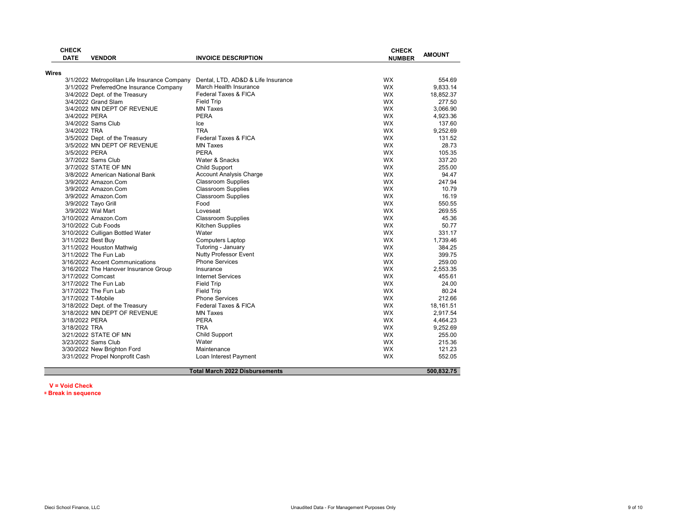|              | <b>CHECK</b><br><b>DATE</b> | <b>VENDOR</b>                                                   | <b>INVOICE DESCRIPTION</b>            | <b>CHECK</b><br><b>NUMBER</b> | <b>AMOUNT</b>         |
|--------------|-----------------------------|-----------------------------------------------------------------|---------------------------------------|-------------------------------|-----------------------|
|              |                             |                                                                 |                                       |                               |                       |
| <b>Wires</b> |                             | 3/1/2022 Metropolitan Life Insurance Company                    | Dental, LTD, AD&D & Life Insurance    | <b>WX</b>                     | 554.69                |
|              |                             | 3/1/2022 PreferredOne Insurance Company                         | March Health Insurance                | <b>WX</b>                     | 9,833.14              |
|              |                             | 3/4/2022 Dept. of the Treasury                                  | <b>Federal Taxes &amp; FICA</b>       | <b>WX</b>                     | 18,852.37             |
|              |                             | 3/4/2022 Grand Slam                                             | <b>Field Trip</b>                     | <b>WX</b>                     | 277.50                |
|              |                             | 3/4/2022 MN DEPT OF REVENUE                                     | <b>MN Taxes</b>                       | <b>WX</b>                     | 3.066.90              |
|              | 3/4/2022 PERA               |                                                                 | PERA                                  | <b>WX</b>                     | 4,923.36              |
|              |                             | 3/4/2022 Sams Club                                              | Ice                                   | <b>WX</b>                     | 137.60                |
|              | 3/4/2022 TRA                |                                                                 | <b>TRA</b>                            | <b>WX</b>                     | 9,252.69              |
|              |                             | 3/5/2022 Dept. of the Treasury                                  | Federal Taxes & FICA                  | <b>WX</b>                     | 131.52                |
|              |                             | 3/5/2022 MN DEPT OF REVENUE                                     | <b>MN Taxes</b>                       | <b>WX</b>                     | 28.73                 |
|              | 3/5/2022 PERA               |                                                                 | <b>PERA</b>                           | <b>WX</b>                     | 105.35                |
|              |                             | 3/7/2022 Sams Club                                              | Water & Snacks                        | <b>WX</b>                     | 337.20                |
|              |                             | 3/7/2022 STATE OF MN                                            | <b>Child Support</b>                  | <b>WX</b>                     | 255.00                |
|              |                             | 3/8/2022 American National Bank                                 | Account Analysis Charge               | <b>WX</b>                     | 94.47                 |
|              |                             | 3/9/2022 Amazon.Com                                             | <b>Classroom Supplies</b>             | <b>WX</b>                     | 247.94                |
|              |                             | 3/9/2022 Amazon.Com                                             | <b>Classroom Supplies</b>             | <b>WX</b>                     | 10.79                 |
|              |                             | 3/9/2022 Amazon.Com                                             | <b>Classroom Supplies</b>             | <b>WX</b>                     | 16.19                 |
|              |                             | 3/9/2022 Tayo Grill                                             | Food                                  | <b>WX</b>                     | 550.55                |
|              |                             | 3/9/2022 Wal Mart                                               | Loveseat                              | <b>WX</b>                     | 269.55                |
|              |                             | 3/10/2022 Amazon.Com                                            | <b>Classroom Supplies</b>             | <b>WX</b>                     | 45.36                 |
|              |                             | 3/10/2022 Cub Foods                                             | Kitchen Supplies                      | <b>WX</b>                     | 50.77                 |
|              |                             | 3/10/2022 Culligan Bottled Water                                | Water                                 | <b>WX</b>                     | 331.17                |
|              | 3/11/2022 Best Buy          |                                                                 | <b>Computers Laptop</b>               | <b>WX</b>                     | 1.739.46              |
|              |                             | 3/11/2022 Houston Mathwig                                       | Tutoring - January                    | <b>WX</b>                     | 384.25                |
|              |                             | 3/11/2022 The Fun Lab                                           | <b>Nutty Professor Event</b>          | <b>WX</b>                     | 399.75                |
|              |                             | 3/16/2022 Accent Communications                                 | <b>Phone Services</b>                 | <b>WX</b>                     | 259.00                |
|              |                             |                                                                 | Insurance                             | <b>WX</b>                     | 2,553.35              |
|              | 3/17/2022 Comcast           | 3/16/2022 The Hanover Insurance Group                           | <b>Internet Services</b>              | <b>WX</b>                     | 455.61                |
|              |                             | 3/17/2022 The Fun Lab                                           | <b>Field Trip</b>                     | <b>WX</b>                     | 24.00                 |
|              |                             | 3/17/2022 The Fun Lab                                           | <b>Field Trip</b>                     | <b>WX</b>                     | 80.24                 |
|              | 3/17/2022 T-Mobile          |                                                                 | <b>Phone Services</b>                 | <b>WX</b>                     | 212.66                |
|              |                             |                                                                 | <b>Federal Taxes &amp; FICA</b>       | <b>WX</b>                     |                       |
|              |                             | 3/18/2022 Dept. of the Treasury<br>3/18/2022 MN DEPT OF REVENUE | <b>MN Taxes</b>                       | <b>WX</b>                     | 18,161.51<br>2,917.54 |
|              |                             |                                                                 | <b>PERA</b>                           | <b>WX</b>                     |                       |
|              | 3/18/2022 PERA              |                                                                 |                                       | <b>WX</b>                     | 4,464.23              |
|              | 3/18/2022 TRA               | 3/21/2022 STATE OF MN                                           | <b>TRA</b><br><b>Child Support</b>    | <b>WX</b>                     | 9,252.69<br>255.00    |
|              |                             |                                                                 | Water                                 |                               |                       |
|              |                             | 3/23/2022 Sams Club                                             |                                       | <b>WX</b><br><b>WX</b>        | 215.36                |
|              |                             | 3/30/2022 New Brighton Ford                                     | Maintenance                           |                               | 121.23                |
|              |                             | 3/31/2022 Propel Nonprofit Cash                                 | Loan Interest Payment                 | WX                            | 552.05                |
|              |                             |                                                                 | <b>Total March 2022 Disbursements</b> |                               | 500.832.75            |

#### V = Void Check \*= Break in sequence